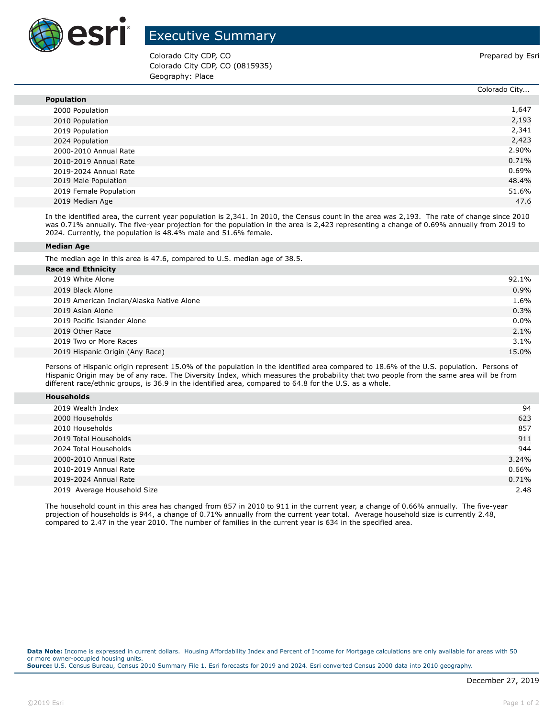

## Executive Summary

Colorado City CDP, CO **Prepared by Estimate Colorado City CDP**, CO Colorado City CDP, CO (0815935) Geography: Place

|                        | Colorado City |
|------------------------|---------------|
| <b>Population</b>      |               |
| 2000 Population        | 1,647         |
| 2010 Population        | 2,193         |
| 2019 Population        | 2,341         |
| 2024 Population        | 2,423         |
| 2000-2010 Annual Rate  | 2.90%         |
| 2010-2019 Annual Rate  | 0.71%         |
| 2019-2024 Annual Rate  | 0.69%         |
| 2019 Male Population   | 48.4%         |
| 2019 Female Population | 51.6%         |
| 2019 Median Age        | 47.6          |

In the identified area, the current year population is 2,341. In 2010, the Census count in the area was 2,193. The rate of change since 2010 was 0.71% annually. The five-year projection for the population in the area is 2,423 representing a change of 0.69% annually from 2019 to 2024. Currently, the population is 48.4% male and 51.6% female.

## **Median Age**

The median age in this area is 47.6, compared to U.S. median age of 38.5.

| <b>Race and Ethnicity</b>                |         |
|------------------------------------------|---------|
| 2019 White Alone                         | 92.1%   |
| 2019 Black Alone                         | 0.9%    |
| 2019 American Indian/Alaska Native Alone | 1.6%    |
| 2019 Asian Alone                         | 0.3%    |
| 2019 Pacific Islander Alone              | $0.0\%$ |
| 2019 Other Race                          | 2.1%    |
| 2019 Two or More Races                   | $3.1\%$ |
| 2019 Hispanic Origin (Any Race)          | 15.0%   |
|                                          |         |

Persons of Hispanic origin represent 15.0% of the population in the identified area compared to 18.6% of the U.S. population. Persons of Hispanic Origin may be of any race. The Diversity Index, which measures the probability that two people from the same area will be from different race/ethnic groups, is 36.9 in the identified area, compared to 64.8 for the U.S. as a whole.

| <b>Households</b> |
|-------------------|
|-------------------|

| 2019 Wealth Index           | 94    |
|-----------------------------|-------|
| 2000 Households             | 623   |
| 2010 Households             | 857   |
| 2019 Total Households       | 911   |
| 2024 Total Households       | 944   |
| 2000-2010 Annual Rate       | 3.24% |
| 2010-2019 Annual Rate       | 0.66% |
| 2019-2024 Annual Rate       | 0.71% |
| 2019 Average Household Size | 2.48  |

The household count in this area has changed from 857 in 2010 to 911 in the current year, a change of 0.66% annually. The five-year projection of households is 944, a change of 0.71% annually from the current year total. Average household size is currently 2.48, compared to 2.47 in the year 2010. The number of families in the current year is 634 in the specified area.

**Data Note:** Income is expressed in current dollars. Housing Affordability Index and Percent of Income for Mortgage calculations are only available for areas with 50 or more owner-occupied housing units. **Source:** U.S. Census Bureau, Census 2010 Summary File 1. Esri forecasts for 2019 and 2024. Esri converted Census 2000 data into 2010 geography.